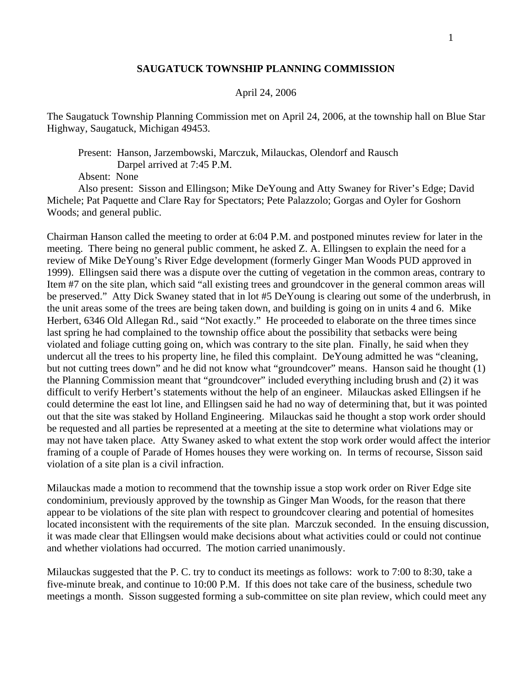## **SAUGATUCK TOWNSHIP PLANNING COMMISSION**

## April 24, 2006

The Saugatuck Township Planning Commission met on April 24, 2006, at the township hall on Blue Star Highway, Saugatuck, Michigan 49453.

 Present: Hanson, Jarzembowski, Marczuk, Milauckas, Olendorf and Rausch Darpel arrived at 7:45 P.M.

Absent: None

 Also present: Sisson and Ellingson; Mike DeYoung and Atty Swaney for River's Edge; David Michele; Pat Paquette and Clare Ray for Spectators; Pete Palazzolo; Gorgas and Oyler for Goshorn Woods; and general public.

Chairman Hanson called the meeting to order at 6:04 P.M. and postponed minutes review for later in the meeting. There being no general public comment, he asked Z. A. Ellingsen to explain the need for a review of Mike DeYoung's River Edge development (formerly Ginger Man Woods PUD approved in 1999). Ellingsen said there was a dispute over the cutting of vegetation in the common areas, contrary to Item #7 on the site plan, which said "all existing trees and groundcover in the general common areas will be preserved." Atty Dick Swaney stated that in lot #5 DeYoung is clearing out some of the underbrush, in the unit areas some of the trees are being taken down, and building is going on in units 4 and 6. Mike Herbert, 6346 Old Allegan Rd., said "Not exactly." He proceeded to elaborate on the three times since last spring he had complained to the township office about the possibility that setbacks were being violated and foliage cutting going on, which was contrary to the site plan. Finally, he said when they undercut all the trees to his property line, he filed this complaint. DeYoung admitted he was "cleaning, but not cutting trees down" and he did not know what "groundcover" means. Hanson said he thought (1) the Planning Commission meant that "groundcover" included everything including brush and (2) it was difficult to verify Herbert's statements without the help of an engineer. Milauckas asked Ellingsen if he could determine the east lot line, and Ellingsen said he had no way of determining that, but it was pointed out that the site was staked by Holland Engineering. Milauckas said he thought a stop work order should be requested and all parties be represented at a meeting at the site to determine what violations may or may not have taken place. Atty Swaney asked to what extent the stop work order would affect the interior framing of a couple of Parade of Homes houses they were working on. In terms of recourse, Sisson said violation of a site plan is a civil infraction.

Milauckas made a motion to recommend that the township issue a stop work order on River Edge site condominium, previously approved by the township as Ginger Man Woods, for the reason that there appear to be violations of the site plan with respect to groundcover clearing and potential of homesites located inconsistent with the requirements of the site plan. Marczuk seconded. In the ensuing discussion, it was made clear that Ellingsen would make decisions about what activities could or could not continue and whether violations had occurred. The motion carried unanimously.

Milauckas suggested that the P. C. try to conduct its meetings as follows: work to 7:00 to 8:30, take a five-minute break, and continue to 10:00 P.M. If this does not take care of the business, schedule two meetings a month. Sisson suggested forming a sub-committee on site plan review, which could meet any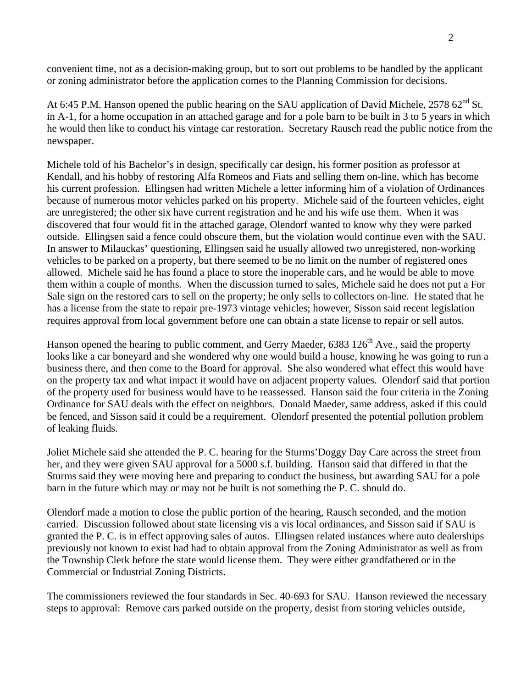convenient time, not as a decision-making group, but to sort out problems to be handled by the applicant or zoning administrator before the application comes to the Planning Commission for decisions.

At 6:45 P.M. Hanson opened the public hearing on the SAU application of David Michele,  $257862<sup>nd</sup>$  St. in A-1, for a home occupation in an attached garage and for a pole barn to be built in 3 to 5 years in which he would then like to conduct his vintage car restoration. Secretary Rausch read the public notice from the newspaper.

Michele told of his Bachelor's in design, specifically car design, his former position as professor at Kendall, and his hobby of restoring Alfa Romeos and Fiats and selling them on-line, which has become his current profession. Ellingsen had written Michele a letter informing him of a violation of Ordinances because of numerous motor vehicles parked on his property. Michele said of the fourteen vehicles, eight are unregistered; the other six have current registration and he and his wife use them. When it was discovered that four would fit in the attached garage, Olendorf wanted to know why they were parked outside. Ellingsen said a fence could obscure them, but the violation would continue even with the SAU. In answer to Milauckas' questioning, Ellingsen said he usually allowed two unregistered, non-working vehicles to be parked on a property, but there seemed to be no limit on the number of registered ones allowed. Michele said he has found a place to store the inoperable cars, and he would be able to move them within a couple of months. When the discussion turned to sales, Michele said he does not put a For Sale sign on the restored cars to sell on the property; he only sells to collectors on-line. He stated that he has a license from the state to repair pre-1973 vintage vehicles; however, Sisson said recent legislation requires approval from local government before one can obtain a state license to repair or sell autos.

Hanson opened the hearing to public comment, and Gerry Maeder,  $6383\,126^{\text{th}}$  Ave., said the property looks like a car boneyard and she wondered why one would build a house, knowing he was going to run a business there, and then come to the Board for approval. She also wondered what effect this would have on the property tax and what impact it would have on adjacent property values. Olendorf said that portion of the property used for business would have to be reassessed. Hanson said the four criteria in the Zoning Ordinance for SAU deals with the effect on neighbors. Donald Maeder, same address, asked if this could be fenced, and Sisson said it could be a requirement. Olendorf presented the potential pollution problem of leaking fluids.

Joliet Michele said she attended the P. C. hearing for the Sturms'Doggy Day Care across the street from her, and they were given SAU approval for a 5000 s.f. building. Hanson said that differed in that the Sturms said they were moving here and preparing to conduct the business, but awarding SAU for a pole barn in the future which may or may not be built is not something the P. C. should do.

Olendorf made a motion to close the public portion of the hearing, Rausch seconded, and the motion carried. Discussion followed about state licensing vis a vis local ordinances, and Sisson said if SAU is granted the P. C. is in effect approving sales of autos. Ellingsen related instances where auto dealerships previously not known to exist had had to obtain approval from the Zoning Administrator as well as from the Township Clerk before the state would license them. They were either grandfathered or in the Commercial or Industrial Zoning Districts.

The commissioners reviewed the four standards in Sec. 40-693 for SAU. Hanson reviewed the necessary steps to approval: Remove cars parked outside on the property, desist from storing vehicles outside,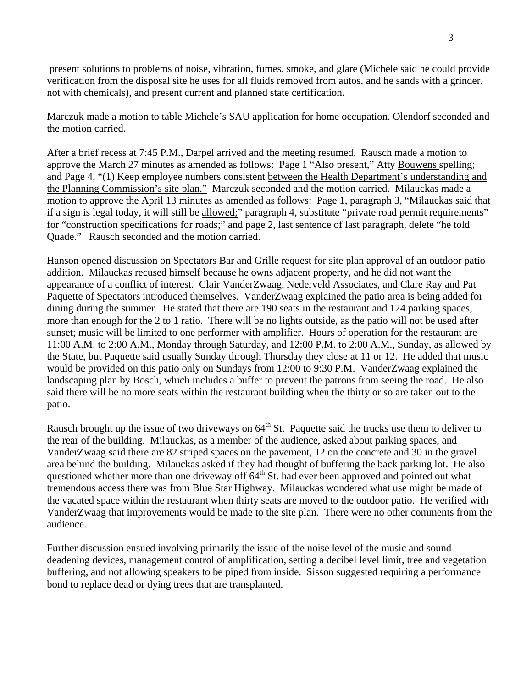present solutions to problems of noise, vibration, fumes, smoke, and glare (Michele said he could provide verification from the disposal site he uses for all fluids removed from autos, and he sands with a grinder, not with chemicals), and present current and planned state certification.

Marczuk made a motion to table Michele's SAU application for home occupation. Olendorf seconded and the motion carried.

After a brief recess at 7:45 P.M., Darpel arrived and the meeting resumed. Rausch made a motion to approve the March 27 minutes as amended as follows: Page 1 "Also present," Atty Bouwens spelling; and Page 4, "(1) Keep employee numbers consistent between the Health Department's understanding and the Planning Commission's site plan." Marczuk seconded and the motion carried. Milauckas made a motion to approve the April 13 minutes as amended as follows: Page 1, paragraph 3, "Milauckas said that if a sign is legal today, it will still be allowed;" paragraph 4, substitute "private road permit requirements" for "construction specifications for roads;" and page 2, last sentence of last paragraph, delete "he told Quade." Rausch seconded and the motion carried.

Hanson opened discussion on Spectators Bar and Grille request for site plan approval of an outdoor patio addition. Milauckas recused himself because he owns adjacent property, and he did not want the appearance of a conflict of interest. Clair VanderZwaag, Nederveld Associates, and Clare Ray and Pat Paquette of Spectators introduced themselves. VanderZwaag explained the patio area is being added for dining during the summer. He stated that there are 190 seats in the restaurant and 124 parking spaces, more than enough for the 2 to 1 ratio. There will be no lights outside, as the patio will not be used after sunset; music will be limited to one performer with amplifier. Hours of operation for the restaurant are 11:00 A.M. to 2:00 A.M., Monday through Saturday, and 12:00 P.M. to 2:00 A.M., Sunday, as allowed by the State, but Paquette said usually Sunday through Thursday they close at 11 or 12. He added that music would be provided on this patio only on Sundays from 12:00 to 9:30 P.M. VanderZwaag explained the landscaping plan by Bosch, which includes a buffer to prevent the patrons from seeing the road. He also said there will be no more seats within the restaurant building when the thirty or so are taken out to the patio.

Rausch brought up the issue of two driveways on  $64<sup>th</sup>$  St. Paquette said the trucks use them to deliver to the rear of the building. Milauckas, as a member of the audience, asked about parking spaces, and VanderZwaag said there are 82 striped spaces on the pavement, 12 on the concrete and 30 in the gravel area behind the building. Milauckas asked if they had thought of buffering the back parking lot. He also questioned whether more than one driveway off  $64<sup>th</sup>$  St. had ever been approved and pointed out what tremendous access there was from Blue Star Highway. Milauckas wondered what use might be made of the vacated space within the restaurant when thirty seats are moved to the outdoor patio. He verified with VanderZwaag that improvements would be made to the site plan. There were no other comments from the audience.

Further discussion ensued involving primarily the issue of the noise level of the music and sound deadening devices, management control of amplification, setting a decibel level limit, tree and vegetation buffering, and not allowing speakers to be piped from inside. Sisson suggested requiring a performance bond to replace dead or dying trees that are transplanted.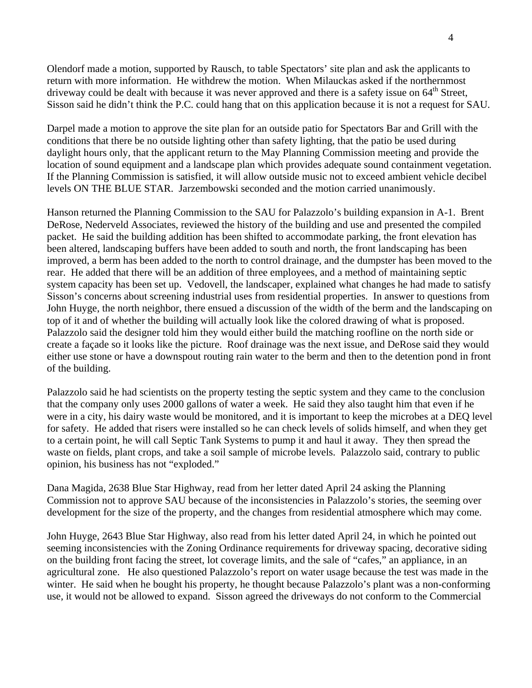Olendorf made a motion, supported by Rausch, to table Spectators' site plan and ask the applicants to return with more information. He withdrew the motion. When Milauckas asked if the northernmost driveway could be dealt with because it was never approved and there is a safety issue on  $64^{\text{th}}$  Street, Sisson said he didn't think the P.C. could hang that on this application because it is not a request for SAU.

Darpel made a motion to approve the site plan for an outside patio for Spectators Bar and Grill with the conditions that there be no outside lighting other than safety lighting, that the patio be used during daylight hours only, that the applicant return to the May Planning Commission meeting and provide the location of sound equipment and a landscape plan which provides adequate sound containment vegetation. If the Planning Commission is satisfied, it will allow outside music not to exceed ambient vehicle decibel levels ON THE BLUE STAR. Jarzembowski seconded and the motion carried unanimously.

Hanson returned the Planning Commission to the SAU for Palazzolo's building expansion in A-1. Brent DeRose, Nederveld Associates, reviewed the history of the building and use and presented the compiled packet. He said the building addition has been shifted to accommodate parking, the front elevation has been altered, landscaping buffers have been added to south and north, the front landscaping has been improved, a berm has been added to the north to control drainage, and the dumpster has been moved to the rear. He added that there will be an addition of three employees, and a method of maintaining septic system capacity has been set up. Vedovell, the landscaper, explained what changes he had made to satisfy Sisson's concerns about screening industrial uses from residential properties. In answer to questions from John Huyge, the north neighbor, there ensued a discussion of the width of the berm and the landscaping on top of it and of whether the building will actually look like the colored drawing of what is proposed. Palazzolo said the designer told him they would either build the matching roofline on the north side or create a façade so it looks like the picture. Roof drainage was the next issue, and DeRose said they would either use stone or have a downspout routing rain water to the berm and then to the detention pond in front of the building.

Palazzolo said he had scientists on the property testing the septic system and they came to the conclusion that the company only uses 2000 gallons of water a week. He said they also taught him that even if he were in a city, his dairy waste would be monitored, and it is important to keep the microbes at a DEQ level for safety. He added that risers were installed so he can check levels of solids himself, and when they get to a certain point, he will call Septic Tank Systems to pump it and haul it away. They then spread the waste on fields, plant crops, and take a soil sample of microbe levels. Palazzolo said, contrary to public opinion, his business has not "exploded."

Dana Magida, 2638 Blue Star Highway, read from her letter dated April 24 asking the Planning Commission not to approve SAU because of the inconsistencies in Palazzolo's stories, the seeming over development for the size of the property, and the changes from residential atmosphere which may come.

John Huyge, 2643 Blue Star Highway, also read from his letter dated April 24, in which he pointed out seeming inconsistencies with the Zoning Ordinance requirements for driveway spacing, decorative siding on the building front facing the street, lot coverage limits, and the sale of "cafes," an appliance, in an agricultural zone. He also questioned Palazzolo's report on water usage because the test was made in the winter. He said when he bought his property, he thought because Palazzolo's plant was a non-conforming use, it would not be allowed to expand. Sisson agreed the driveways do not conform to the Commercial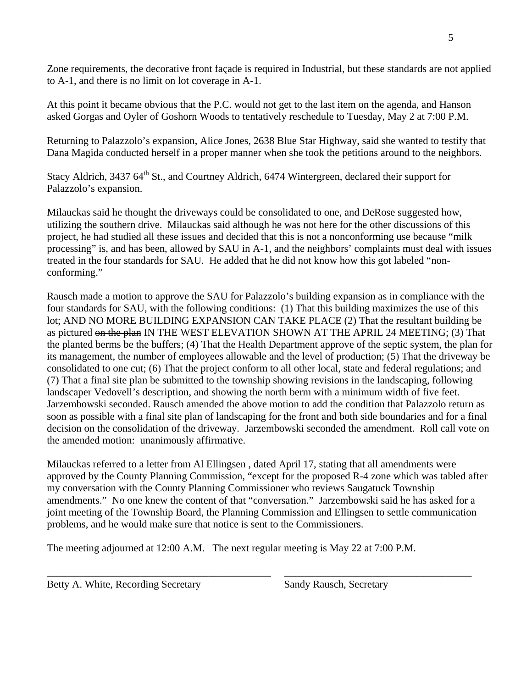Zone requirements, the decorative front façade is required in Industrial, but these standards are not applied to A-1, and there is no limit on lot coverage in A-1.

At this point it became obvious that the P.C. would not get to the last item on the agenda, and Hanson asked Gorgas and Oyler of Goshorn Woods to tentatively reschedule to Tuesday, May 2 at 7:00 P.M.

Returning to Palazzolo's expansion, Alice Jones, 2638 Blue Star Highway, said she wanted to testify that Dana Magida conducted herself in a proper manner when she took the petitions around to the neighbors.

Stacy Aldrich, 3437 64<sup>th</sup> St., and Courtney Aldrich, 6474 Wintergreen, declared their support for Palazzolo's expansion.

Milauckas said he thought the driveways could be consolidated to one, and DeRose suggested how, utilizing the southern drive. Milauckas said although he was not here for the other discussions of this project, he had studied all these issues and decided that this is not a nonconforming use because "milk processing" is, and has been, allowed by SAU in A-1, and the neighbors' complaints must deal with issues treated in the four standards for SAU. He added that he did not know how this got labeled "nonconforming."

Rausch made a motion to approve the SAU for Palazzolo's building expansion as in compliance with the four standards for SAU, with the following conditions: (1) That this building maximizes the use of this lot; AND NO MORE BUILDING EXPANSION CAN TAKE PLACE (2) That the resultant building be as pictured on the plan IN THE WEST ELEVATION SHOWN AT THE APRIL 24 MEETING; (3) That the planted berms be the buffers; (4) That the Health Department approve of the septic system, the plan for its management, the number of employees allowable and the level of production; (5) That the driveway be consolidated to one cut; (6) That the project conform to all other local, state and federal regulations; and (7) That a final site plan be submitted to the township showing revisions in the landscaping, following landscaper Vedovell's description, and showing the north berm with a minimum width of five feet. Jarzembowski seconded. Rausch amended the above motion to add the condition that Palazzolo return as soon as possible with a final site plan of landscaping for the front and both side boundaries and for a final decision on the consolidation of the driveway. Jarzembowski seconded the amendment. Roll call vote on the amended motion: unanimously affirmative.

Milauckas referred to a letter from Al Ellingsen , dated April 17, stating that all amendments were approved by the County Planning Commission, "except for the proposed R-4 zone which was tabled after my conversation with the County Planning Commissioner who reviews Saugatuck Township amendments." No one knew the content of that "conversation." Jarzembowski said he has asked for a joint meeting of the Township Board, the Planning Commission and Ellingsen to settle communication problems, and he would make sure that notice is sent to the Commissioners.

\_\_\_\_\_\_\_\_\_\_\_\_\_\_\_\_\_\_\_\_\_\_\_\_\_\_\_\_\_\_\_\_\_\_\_\_\_\_\_\_\_\_\_ \_\_\_\_\_\_\_\_\_\_\_\_\_\_\_\_\_\_\_\_\_\_\_\_\_\_\_\_\_\_\_\_\_\_\_\_

The meeting adjourned at 12:00 A.M. The next regular meeting is May 22 at 7:00 P.M.

Betty A. White, Recording Secretary Sandy Rausch, Secretary